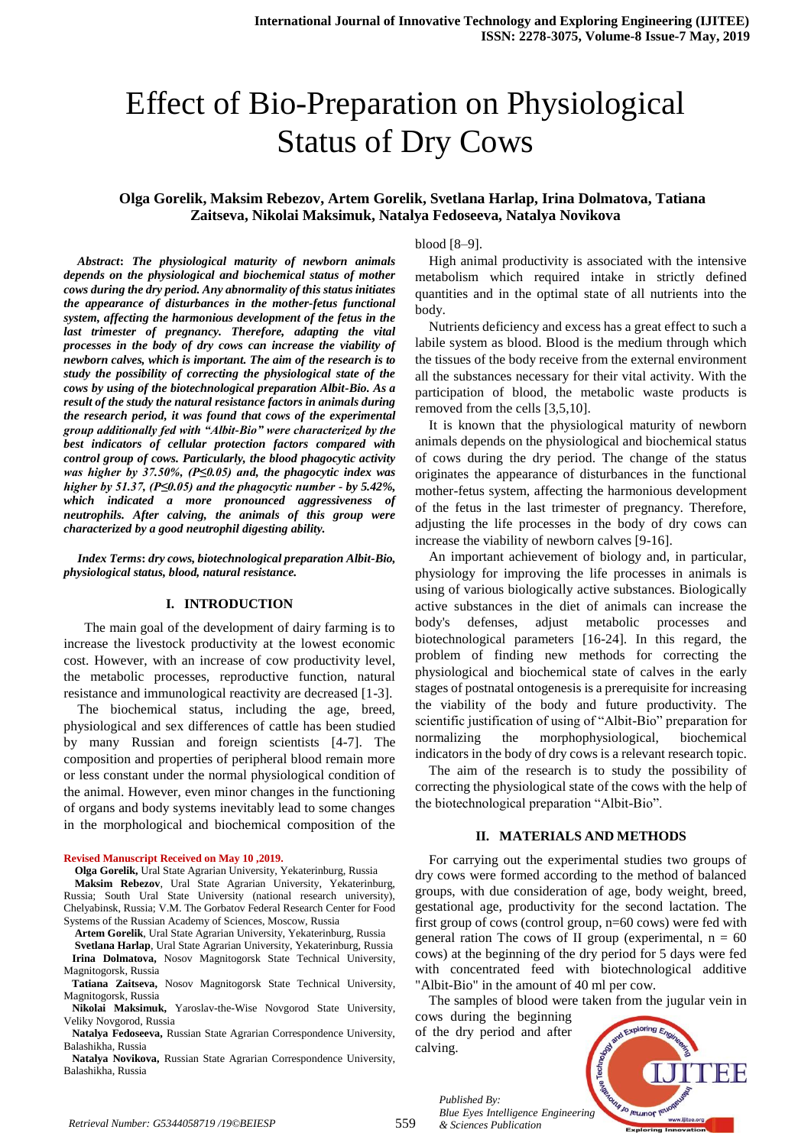# Effect of Bio-Preparation on Physiological Status of Dry Cows

## **Olga Gorelik, Maksim Rebezov, Artem Gorelik, Svetlana Harlap, Irina Dolmatova, Tatiana Zaitseva, Nikolai Maksimuk, Natalya Fedoseeva, Natalya Novikova**

*Abstract***:** *The physiological maturity of newborn animals depends on the physiological and biochemical status of mother cows during the dry period. Any abnormality of this status initiates the appearance of disturbances in the mother-fetus functional system, affecting the harmonious development of the fetus in the last trimester of pregnancy. Therefore, adapting the vital processes in the body of dry cows can increase the viability of newborn calves, which is important. The aim of the research is to study the possibility of correcting the physiological state of the cows by using of the biotechnological preparation Albit-Bio. As a result of the study the natural resistance factors in animals during the research period, it was found that cows of the experimental group additionally fed with "Albit-Bio" were characterized by the best indicators of cellular protection factors compared with control group of cows. Particularly, the blood phagocytic activity was higher by 37.50%, (P≤0.05) and, the phagocytic index was higher by 51.37, (P≤0.05) and the phagocytic number - by 5.42%, which indicated a more pronounced aggressiveness of neutrophils. After calving, the animals of this group were characterized by a good neutrophil digesting ability.*

*Index Terms***:** *dry cows, biotechnological preparation Albit-Bio, physiological status, blood, natural resistance.*

### **I. INTRODUCTION**

 The main goal of the development of dairy farming is to increase the livestock productivity at the lowest economic cost. However, with an increase of cow productivity level, the metabolic processes, reproductive function, natural resistance and immunological reactivity are decreased [1-3].

The biochemical status, including the age, breed, physiological and sex differences of cattle has been studied by many Russian and foreign scientists [4-7]. The composition and properties of peripheral blood remain more or less constant under the normal physiological condition of the animal. However, even minor changes in the functioning of organs and body systems inevitably lead to some changes in the morphological and biochemical composition of the

#### **Revised Manuscript Received on May 10 ,2019.**

 **Olga Gorelik,** Ural State Agrarian University, Yekaterinburg, Russia

 **Maksim Rebezov**, Ural State Agrarian University, Yekaterinburg, Russia; South Ural State University (national research university), Chelyabinsk, Russia; V.M. The Gorbatov Federal Research Center for Food Systems of the Russian Academy of Sciences, Moscow, Russia

 **Artem Gorelik**, Ural State Agrarian University, Yekaterinburg, Russia

 **Svetlana Harlap**, Ural State Agrarian University, Yekaterinburg, Russia  **Irina Dolmatova,** Nosov Magnitogorsk State Technical University, Magnitogorsk, Russia

 **Tatiana Zaitseva,** Nosov Magnitogorsk State Technical University, Magnitogorsk, Russia

 **Nikolai Maksimuk,** Yaroslav-the-Wise Novgorod State University, Veliky Novgorod, Russia

 **Natalya Fedoseeva,** Russian State Agrarian Correspondence University, Balashikha, Russia

 **Natalya Novikova,** Russian State Agrarian Correspondence University, Balashikha, Russia

blood [8–9].

High animal productivity is associated with the intensive metabolism which required intake in strictly defined quantities and in the optimal state of all nutrients into the body.

Nutrients deficiency and excess has a great effect to such a labile system as blood. Blood is the medium through which the tissues of the body receive from the external environment all the substances necessary for their vital activity. With the participation of blood, the metabolic waste products is removed from the cells [3,5,10].

It is known that the physiological maturity of newborn animals depends on the physiological and biochemical status of cows during the dry period. The change of the status originates the appearance of disturbances in the functional mother-fetus system, affecting the harmonious development of the fetus in the last trimester of pregnancy. Therefore, adjusting the life processes in the body of dry cows can increase the viability of newborn calves [9-16].

An important achievement of biology and, in particular, physiology for improving the life processes in animals is using of various biologically active substances. Biologically active substances in the diet of animals can increase the body's defenses, adjust metabolic processes and biotechnological parameters [16-24]. In this regard, the problem of finding new methods for correcting the physiological and biochemical state of calves in the early stages of postnatal ontogenesis is a prerequisite for increasing the viability of the body and future productivity. The scientific justification of using of "Albit-Bio" preparation for normalizing the morphophysiological, biochemical indicators in the body of dry cows is a relevant research topic.

The aim of the research is to study the possibility of correcting the physiological state of the cows with the help of the biotechnological preparation "Albit-Bio".

#### **II. MATERIALS AND METHODS**

For carrying out the experimental studies two groups of dry cows were formed according to the method of balanced groups, with due consideration of age, body weight, breed, gestational age, productivity for the second lactation. The first group of cows (control group, n=60 cows) were fed with general ration The cows of II group (experimental,  $n = 60$ cows) at the beginning of the dry period for 5 days were fed with concentrated feed with biotechnological additive "Albit-Bio" in the amount of 40 ml per cow.

The samples of blood were taken from the jugular vein in cows during the beginning of the dry period and after calving.



*Published By:*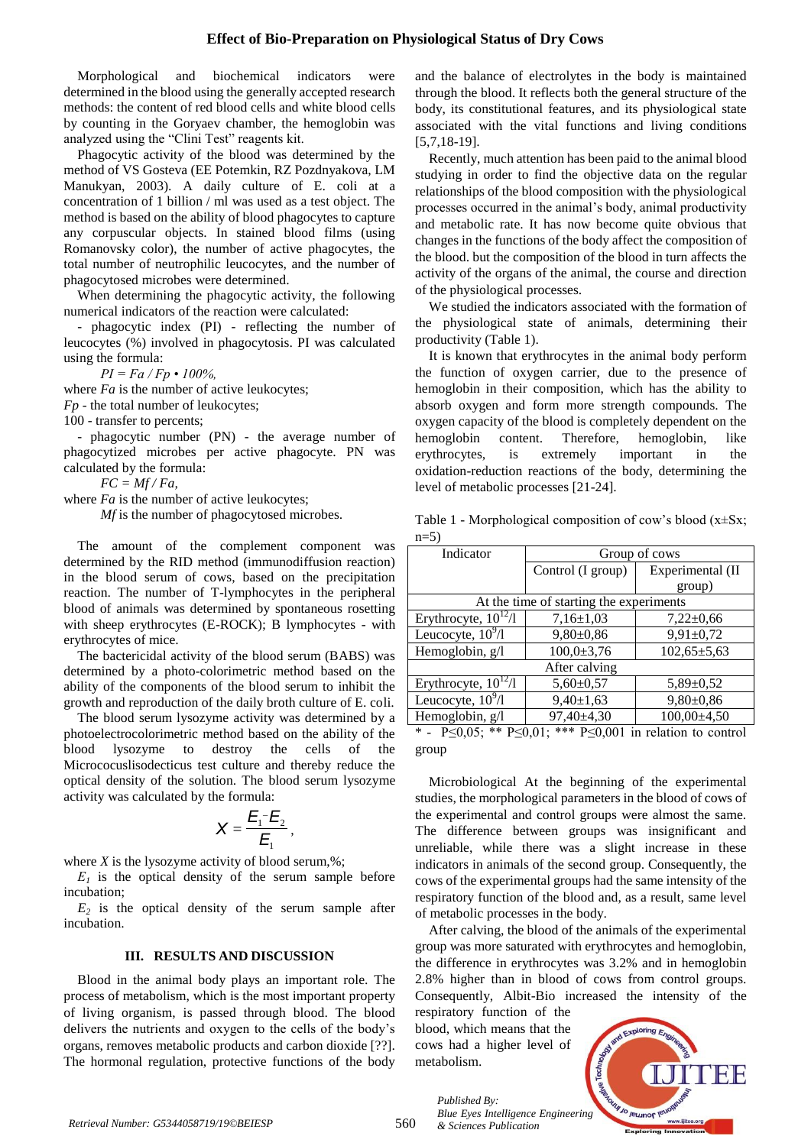Morphological and biochemical indicators were determined in the blood using the generally accepted research methods: the content of red blood cells and white blood cells by counting in the Goryaev chamber, the hemoglobin was analyzed using the "Clini Test" reagents kit.

Phagocytic activity of the blood was determined by the method of VS Gosteva (EE Potemkin, RZ Pozdnyakova, LM Manukyan, 2003). A daily culture of E. coli at a concentration of 1 billion / ml was used as a test object. The method is based on the ability of blood phagocytes to capture any corpuscular objects. In stained blood films (using Romanovsky color), the number of active phagocytes, the total number of neutrophilic leucocytes, and the number of phagocytosed microbes were determined.

When determining the phagocytic activity, the following numerical indicators of the reaction were calculated:

- phagocytic index (PI) - reflecting the number of leucocytes (%) involved in phagocytosis. PI was calculated using the formula:

*PI = Fa / Fp • 100%,*

where *Fa* is the number of active leukocytes;

*Fp* - the total number of leukocytes;

100 - transfer to percents;

- phagocytic number (PN) - the average number of phagocytized microbes per active phagocyte. PN was calculated by the formula:

*FC = Mf / Fa,*

where *Fa* is the number of active leukocytes;

*Mf* is the number of phagocytosed microbes.

The amount of the complement component was determined by the RID method (immunodiffusion reaction) in the blood serum of cows, based on the precipitation reaction. The number of T-lymphocytes in the peripheral blood of animals was determined by spontaneous rosetting with sheep erythrocytes (E-ROCK); B lymphocytes - with erythrocytes of mice.

The bactericidal activity of the blood serum (BABS) was determined by a photo-colorimetric method based on the ability of the components of the blood serum to inhibit the growth and reproduction of the daily broth culture of E. coli.

The blood serum lysozyme activity was determined by a photoelectrocolorimetric method based on the ability of the blood lysozyme to destroy the cells of the Micrococuslisodecticus test culture and thereby reduce the optical density of the solution. The blood serum lysozyme activity was calculated by the formula:

$$
X=\frac{E_1^-E_2}{E_1},
$$

where  $X$  is the lysozyme activity of blood serum,  $\%$ ;

 $E_I$  is the optical density of the serum sample before incubation;

 $E_2$  is the optical density of the serum sample after incubation.

#### **III. RESULTS AND DISCUSSION**

Blood in the animal body plays an important role. The process of metabolism, which is the most important property of living organism, is passed through blood. The blood delivers the nutrients and oxygen to the cells of the body's organs, removes metabolic products and carbon dioxide [??]. The hormonal regulation, protective functions of the body

and the balance of electrolytes in the body is maintained through the blood. It reflects both the general structure of the body, its constitutional features, and its physiological state associated with the vital functions and living conditions [5,7,18-19].

Recently, much attention has been paid to the animal blood studying in order to find the objective data on the regular relationships of the blood composition with the physiological processes occurred in the animal's body, animal productivity and metabolic rate. It has now become quite obvious that changes in the functions of the body affect the composition of the blood. but the composition of the blood in turn affects the activity of the organs of the animal, the course and direction of the physiological processes.

We studied the indicators associated with the formation of the physiological state of animals, determining their productivity (Table 1).

It is known that erythrocytes in the animal body perform the function of oxygen carrier, due to the presence of hemoglobin in their composition, which has the ability to absorb oxygen and form more strength compounds. The oxygen capacity of the blood is completely dependent on the hemoglobin content. Therefore, hemoglobin, like erythrocytes, is extremely important in the oxidation-reduction reactions of the body, determining the level of metabolic processes [21-24].

Table 1 - Morphological composition of cow's blood  $(x \pm Sx)$ ;  $n=5$ )

| Indicator                               | Group of cows     |                   |  |  |  |  |
|-----------------------------------------|-------------------|-------------------|--|--|--|--|
|                                         | Control (I group) | Experimental (II  |  |  |  |  |
|                                         |                   | group)            |  |  |  |  |
| At the time of starting the experiments |                   |                   |  |  |  |  |
| Erythrocyte, $10^{12}/1$                | $7,16\pm1,03$     | $7,22\pm0.66$     |  |  |  |  |
| Leucocyte, $10^9/1$                     | $9,80\pm0.86$     | $9,91 \pm 0,72$   |  |  |  |  |
| Hemoglobin, $g/l$                       | $100,0{\pm}3,76$  | $102,65 \pm 5,63$ |  |  |  |  |
| After calving                           |                   |                   |  |  |  |  |
| Erythrocyte, $10^{12}/1$                | $5,60 \pm 0,57$   | $5,89 \pm 0,52$   |  |  |  |  |
| Leucocyte, $10^9/1$                     | $9,40 \pm 1,63$   | $9,80\pm0.86$     |  |  |  |  |
| Hemoglobin, g/l                         | $97,40\pm4,30$    | $100,00\pm4,50$   |  |  |  |  |

<sup>-</sup>  $P\leq 0.05$ ; \*\*  $P\leq 0.01$ ; \*\*\*  $P\leq 0.001$  in relation to control group

Microbiological At the beginning of the experimental studies, the morphological parameters in the blood of cows of the experimental and control groups were almost the same. The difference between groups was insignificant and unreliable, while there was a slight increase in these indicators in animals of the second group. Consequently, the cows of the experimental groups had the same intensity of the respiratory function of the blood and, as a result, same level of metabolic processes in the body.

After calving, the blood of the animals of the experimental group was more saturated with erythrocytes and hemoglobin, the difference in erythrocytes was 3.2% and in hemoglobin 2.8% higher than in blood of cows from control groups. Consequently, Albit-Bio increased the intensity of the

respiratory function of the blood, which means that the cows had a higher level of metabolism.



*Published By: Blue Eyes Intelligence Engineering*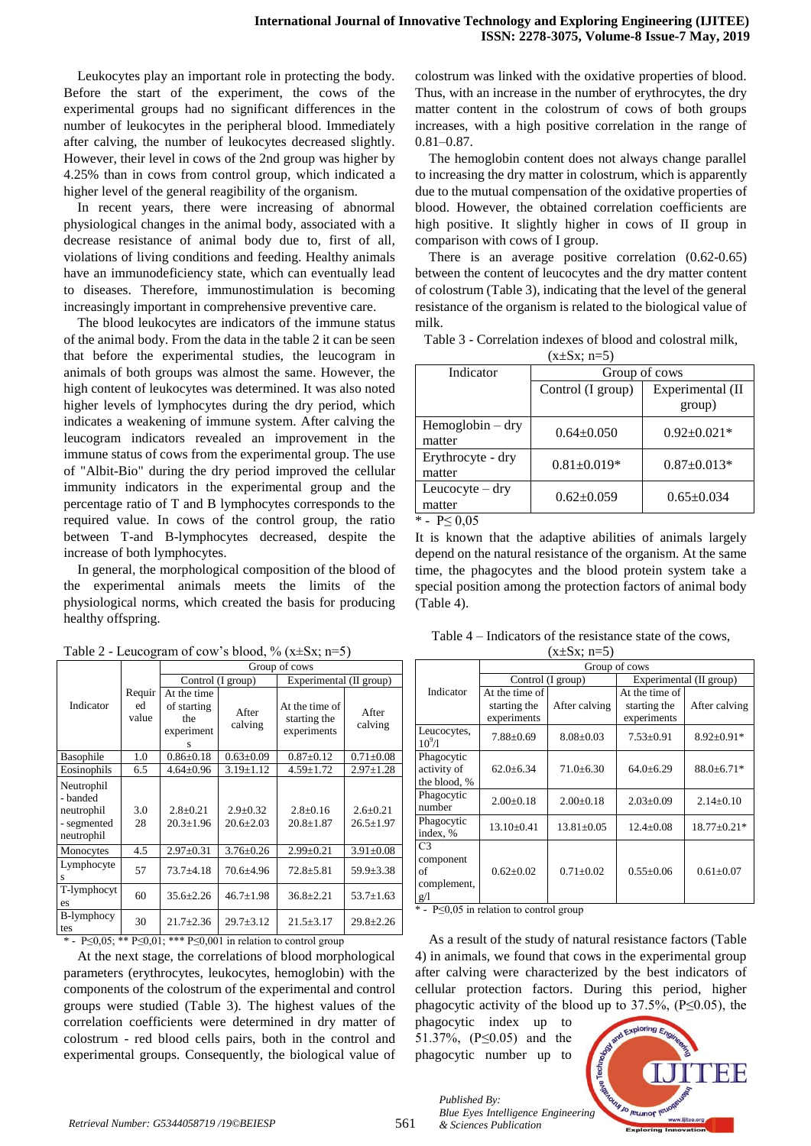Leukocytes play an important role in protecting the body. Before the start of the experiment, the cows of the experimental groups had no significant differences in the number of leukocytes in the peripheral blood. Immediately after calving, the number of leukocytes decreased slightly. However, their level in cows of the 2nd group was higher by 4.25% than in cows from control group, which indicated a higher level of the general reagibility of the organism.

In recent years, there were increasing of abnormal physiological changes in the animal body, associated with a decrease resistance of animal body due to, first of all, violations of living conditions and feeding. Healthy animals have an immunodeficiency state, which can eventually lead to diseases. Therefore, immunostimulation is becoming increasingly important in comprehensive preventive care.

The blood leukocytes are indicators of the immune status of the animal body. From the data in the table 2 it can be seen that before the experimental studies, the leucogram in animals of both groups was almost the same. However, the high content of leukocytes was determined. It was also noted higher levels of lymphocytes during the dry period, which indicates a weakening of immune system. After calving the leucogram indicators revealed an improvement in the immune status of cows from the experimental group. The use of "Albit-Bio" during the dry period improved the cellular immunity indicators in the experimental group and the percentage ratio of T and B lymphocytes corresponds to the required value. In cows of the control group, the ratio between T-and B-lymphocytes decreased, despite the increase of both lymphocytes.

In general, the morphological composition of the blood of the experimental animals meets the limits of the physiological norms, which created the basis for producing healthy offspring.

|                                                                   |                       | Group of cows                                        |                                   |                                               |                                   |
|-------------------------------------------------------------------|-----------------------|------------------------------------------------------|-----------------------------------|-----------------------------------------------|-----------------------------------|
|                                                                   |                       | Control (I group)                                    |                                   | Experimental (II group)                       |                                   |
| Indicator                                                         | Requir<br>ed<br>value | At the time<br>of starting<br>the<br>experiment<br>s | After<br>calving                  | At the time of<br>starting the<br>experiments | After<br>calving                  |
| Basophile                                                         | 1.0                   | $0.86 \pm 0.18$                                      | $0.63 \pm 0.09$                   | $0.87 \pm 0.12$                               | $0.71 \pm 0.08$                   |
| Eosinophils                                                       | 6.5                   | $4.64 \pm 0.96$                                      | $3.19 \pm 1.12$                   | $4.59 \pm 1.72$                               | $2.97 \pm 1.28$                   |
| Neutrophil<br>- banded<br>neutrophil<br>- segmented<br>neutrophil | 3.0<br>28             | $2.8 \pm 0.21$<br>$20.3 \pm 1.96$                    | $2.9 \pm 0.32$<br>$20.6 \pm 2.03$ | $2.8 \pm 0.16$<br>$20.8 \pm 1.87$             | $2.6 \pm 0.21$<br>$26.5 \pm 1.97$ |
| Monocytes                                                         | 4.5                   | $2.97 \pm 0.31$                                      | $3.76 \pm 0.26$                   | $2.99 \pm 0.21$                               | $3.91 \pm 0.08$                   |
| Lymphocyte<br>s                                                   | 57                    | $73.7 + 4.18$                                        | 70.6±4.96                         | $72.8 \pm 5.81$                               | $59.9 \pm 3.38$                   |
| T-lymphocyt<br>es                                                 | 60                    | $35.6 \pm 2.26$                                      | $46.7 \pm 1.98$                   | $36.8 \pm 2.21$                               | $53.7 \pm 1.63$                   |
| B-lymphocy<br>tes                                                 | 30                    | $21.7 \pm 2.36$                                      | $29.7 \pm 3.12$                   | $21.5 \pm 3.17$                               | $29.8 \pm 2.26$                   |

Table 2 - Leucogram of cow's blood, %  $(x \pm Sx; n=5)$ 

\* -  $P \le 0.05$ ; \*\*  $P \le 0.01$ ; \*\*\*  $P \le 0.001$  in relation to control group

At the next stage, the correlations of blood morphological parameters (erythrocytes, leukocytes, hemoglobin) with the components of the colostrum of the experimental and control groups were studied (Table 3). The highest values of the correlation coefficients were determined in dry matter of colostrum - red blood cells pairs, both in the control and experimental groups. Consequently, the biological value of colostrum was linked with the oxidative properties of blood. Thus, with an increase in the number of erythrocytes, the dry matter content in the colostrum of cows of both groups increases, with a high positive correlation in the range of 0.81–0.87.

The hemoglobin content does not always change parallel to increasing the dry matter in colostrum, which is apparently due to the mutual compensation of the oxidative properties of blood. However, the obtained correlation coefficients are high positive. It slightly higher in cows of II group in comparison with cows of I group.

There is an average positive correlation (0.62-0.65) between the content of leucocytes and the dry matter content of colostrum (Table 3), indicating that the level of the general resistance of the organism is related to the biological value of milk.

| Group of cows              |  |  |
|----------------------------|--|--|
| Experimental (II<br>group) |  |  |
| $0.92 \pm 0.021*$          |  |  |
| $0.87 \pm 0.013*$          |  |  |
| $0.65 \pm 0.034$           |  |  |
|                            |  |  |

Table 3 - Correlation indexes of blood and colostral milk,

 $(x+\sqrt{S_x}; n-5)$ 

\* -  $P \le 0.05$ 

It is known that the adaptive abilities of animals largely depend on the natural resistance of the organism. At the same time, the phagocytes and the blood protein system take a special position among the protection factors of animal body (Table 4).

| $(x\pm Sx; n=5)$                                        |                                               |                |                                               |                   |  |  |  |
|---------------------------------------------------------|-----------------------------------------------|----------------|-----------------------------------------------|-------------------|--|--|--|
|                                                         | Group of cows                                 |                |                                               |                   |  |  |  |
|                                                         | Control (I group)                             |                | Experimental (II group)                       |                   |  |  |  |
| Indicator                                               | At the time of<br>starting the<br>experiments | After calving  | At the time of<br>starting the<br>experiments | After calving     |  |  |  |
| Leucocytes,<br>$10^{9}/1$                               | $7.88 \pm 0.69$                               | $8.08 + 0.03$  | $7.53+0.91$                                   | $8.92 \pm 0.91*$  |  |  |  |
| Phagocytic<br>activity of<br>the blood, %               | $62.0 \pm 6.34$                               | $71.0 + 6.30$  | $64.0 + 6.29$                                 | $88.0 \pm 6.71*$  |  |  |  |
| Phagocytic<br>number                                    | $2.00+0.18$                                   | $2.00+0.18$    | $2.03+0.09$                                   | $2.14+0.10$       |  |  |  |
| Phagocytic<br>index, %                                  | $13.10 \pm 0.41$                              | $13.81 + 0.05$ | $12.4 + 0.08$                                 | $18.77 \pm 0.21*$ |  |  |  |
| C <sub>3</sub><br>component<br>of<br>complement.<br>g/1 | $0.62 \pm 0.02$                               | $0.71 + 0.02$  | $0.55+0.06$                                   | $0.61 + 0.07$     |  |  |  |

Table 4 – Indicators of the resistance state of the cows,

\* - Р≤0,05 in relation to control group

As a result of the study of natural resistance factors (Table 4) in animals, we found that cows in the experimental group after calving were characterized by the best indicators of cellular protection factors. During this period, higher phagocytic activity of the blood up to  $37.5\%$ , (P $\leq$ 0.05), the

phagocytic index up to 51.37%, (P≤0.05) and the phagocytic number up to



*Published By: Blue Eyes Intelligence Engineering*